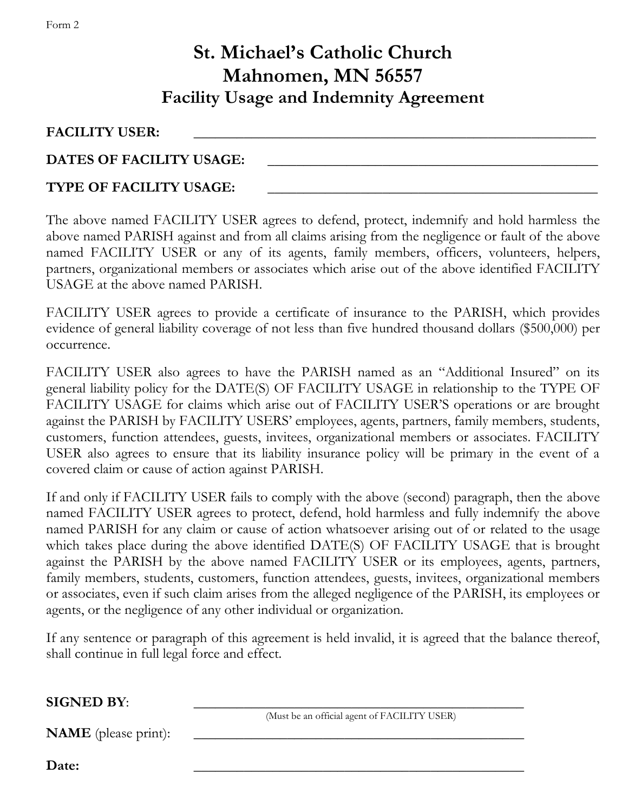## **St. Michael's Catholic Church Mahnomen, MN 56557 Facility Usage and Indemnity Agreement**

FACILITY USER:

DATES OF FACILITY USAGE:

## **TYPE OF FACILITY USAGE:** \_\_\_\_\_\_\_\_\_\_\_\_\_\_\_\_\_\_\_\_\_\_\_\_\_\_\_\_\_\_\_\_\_\_\_\_\_\_\_\_\_\_\_\_\_\_

The above named FACILITY USER agrees to defend, protect, indemnify and hold harmless the above named PARISH against and from all claims arising from the negligence or fault of the above named FACILITY USER or any of its agents, family members, officers, volunteers, helpers, partners, organizational members or associates which arise out of the above identified FACILITY USAGE at the above named PARISH.

FACILITY USER agrees to provide a certificate of insurance to the PARISH, which provides evidence of general liability coverage of not less than five hundred thousand dollars (\$500,000) per occurrence.

FACILITY USER also agrees to have the PARISH named as an "Additional Insured" on its general liability policy for the DATE(S) OF FACILITY USAGE in relationship to the TYPE OF FACILITY USAGE for claims which arise out of FACILITY USER'S operations or are brought against the PARISH by FACILITY USERS' employees, agents, partners, family members, students, customers, function attendees, guests, invitees, organizational members or associates. FACILITY USER also agrees to ensure that its liability insurance policy will be primary in the event of a covered claim or cause of action against PARISH.

If and only if FACILITY USER fails to comply with the above (second) paragraph, then the above named FACILITY USER agrees to protect, defend, hold harmless and fully indemnify the above named PARISH for any claim or cause of action whatsoever arising out of or related to the usage which takes place during the above identified DATE(S) OF FACILITY USAGE that is brought against the PARISH by the above named FACILITY USER or its employees, agents, partners, family members, students, customers, function attendees, guests, invitees, organizational members or associates, even if such claim arises from the alleged negligence of the PARISH, its employees or agents, or the negligence of any other individual or organization.

If any sentence or paragraph of this agreement is held invalid, it is agreed that the balance thereof, shall continue in full legal force and effect.

**SIGNED BY:** 

(Must be an official agent of FACILITY USER)

**NAME** (please print):

**Date:** \_\_\_\_\_\_\_\_\_\_\_\_\_\_\_\_\_\_\_\_\_\_\_\_\_\_\_\_\_\_\_\_\_\_\_\_\_\_\_\_\_\_\_\_\_\_